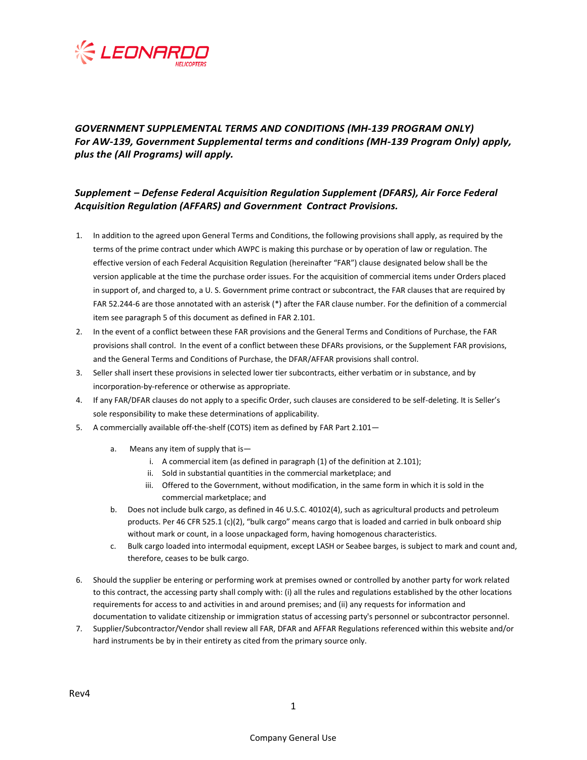

# *GOVERNMENT SUPPLEMENTAL TERMS AND CONDITIONS (MH-139 PROGRAM ONLY) For AW-139, Government Supplemental terms and conditions (MH-139 Program Only) apply, plus the (All Programs) will apply.*

## *Supplement – Defense Federal Acquisition Regulation Supplement (DFARS), Air Force Federal Acquisition Regulation (AFFARS) and Government Contract Provisions.*

- 1. In addition to the agreed upon General Terms and Conditions, the following provisions shall apply, as required by the terms of the prime contract under which AWPC is making this purchase or by operation of law or regulation. The effective version of each Federal Acquisition Regulation (hereinafter "FAR") clause designated below shall be the version applicable at the time the purchase order issues. For the acquisition of commercial items under Orders placed in support of, and charged to, a U. S. Government prime contract or subcontract, the FAR clauses that are required by FAR 52.244-6 are those annotated with an asterisk (\*) after the FAR clause number. For the definition of a commercial item see paragraph 5 of this document as defined in FAR 2.101.
- 2. In the event of a conflict between these FAR provisions and the General Terms and Conditions of Purchase, the FAR provisions shall control. In the event of a conflict between these DFARs provisions, or the Supplement FAR provisions, and the General Terms and Conditions of Purchase, the DFAR/AFFAR provisions shall control.
- 3. Seller shall insert these provisions in selected lower tier subcontracts, either verbatim or in substance, and by incorporation-by-reference or otherwise as appropriate.
- 4. If any FAR/DFAR clauses do not apply to a specific Order, such clauses are considered to be self-deleting. It is Seller's sole responsibility to make these determinations of applicability.
- 5. A commercially available off-the-shelf (COTS) item as defined by FAR Part 2.101
	- a. Means any item of supply that is
		- i. A commercial item (as defined in paragraph (1) of the definition at 2.101);
		- ii. Sold in substantial quantities in the commercial marketplace; and
		- iii. Offered to the Government, without modification, in the same form in which it is sold in the commercial marketplace; and
	- b. Does not include bulk cargo, as defined in 46 U.S.C. 40102(4), such as agricultural products and petroleum products. Per 46 CFR 525.1 (c)(2), "bulk cargo" means cargo that is loaded and carried in bulk onboard ship without mark or count, in a loose unpackaged form, having homogenous characteristics.
	- c. Bulk cargo loaded into intermodal equipment, except LASH or Seabee barges, is subject to mark and count and, therefore, ceases to be bulk cargo.
- 6. Should the supplier be entering or performing work at premises owned or controlled by another party for work related to this contract, the accessing party shall comply with: (i) all the rules and regulations established by the other locations requirements for access to and activities in and around premises; and (ii) any requests for information and documentation to validate citizenship or immigration status of accessing party's personnel or subcontractor personnel.
- 7. Supplier/Subcontractor/Vendor shall review all FAR, DFAR and AFFAR Regulations referenced within this website and/or hard instruments be by in their entirety as cited from the primary source only.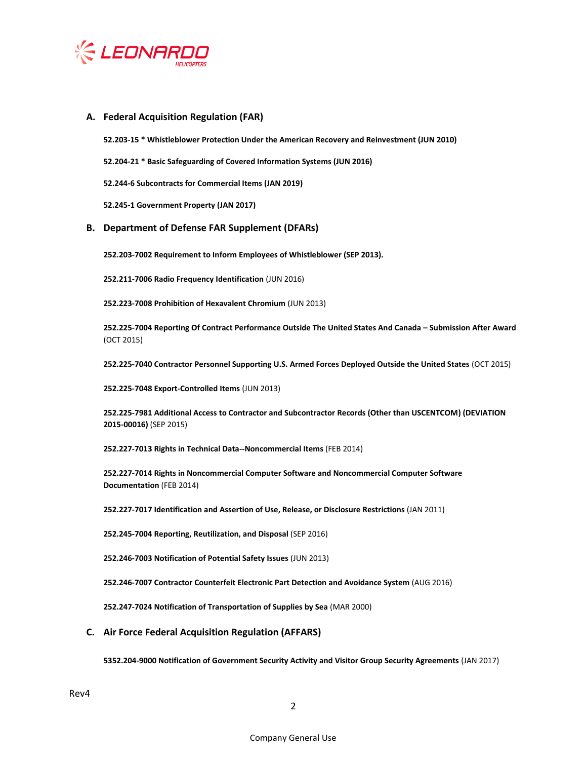

## **A. Federal Acquisition Regulation (FAR)**

**52.203-15 \* Whistleblower Protection Under the American Recovery and Reinvestment (JUN 2010)**

**52.204-21 \* Basic Safeguarding of Covered Information Systems (JUN 2016)**

**52.244-6 Subcontracts for Commercial Items (JAN 2019)**

**52.245-1 Government Property (JAN 2017)**

### **B. Department of Defense FAR Supplement (DFARs)**

**252.203-7002 Requirement to Inform Employees of Whistleblower (SEP 2013).**

**252.211-7006 Radio Frequency Identification** (JUN 2016)

**252.223-7008 Prohibition of Hexavalent Chromium** (JUN 2013)

**252.225-7004 Reporting Of Contract Performance Outside The United States And Canada – Submission After Award** (OCT 2015)

**252.225-7040 Contractor Personnel Supporting U.S. Armed Forces Deployed Outside the United States** (OCT 2015)

**252.225-7048 Export-Controlled Items** (JUN 2013)

**252.225-7981 Additional Access to Contractor and Subcontractor Records (Other than USCENTCOM) (DEVIATION 2015-00016)** (SEP 2015)

**252.227-7013 Rights in Technical Data--Noncommercial Items** (FEB 2014)

**252.227-7014 Rights in Noncommercial Computer Software and Noncommercial Computer Software Documentation** (FEB 2014)

**252.227-7017 Identification and Assertion of Use, Release, or Disclosure Restrictions** (JAN 2011)

**252.245-7004 Reporting, Reutilization, and Disposal** (SEP 2016)

**252.246-7003 Notification of Potential Safety Issues** (JUN 2013)

**252.246-7007 Contractor Counterfeit Electronic Part Detection and Avoidance System** (AUG 2016)

**252.247-7024 Notification of Transportation of Supplies by Sea** (MAR 2000)

### **C. Air Force Federal Acquisition Regulation (AFFARS)**

**5352.204-9000 Notification of Government Security Activity and Visitor Group Security Agreements** (JAN 2017)